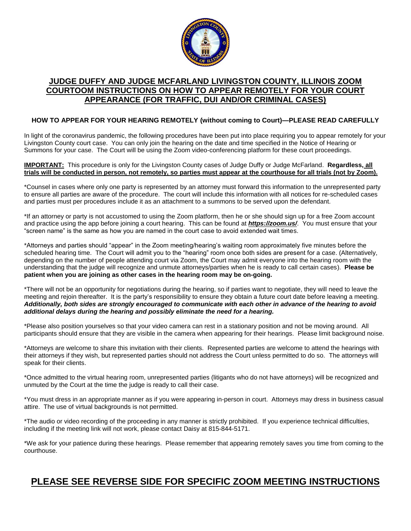

#### **JUDGE DUFFY AND JUDGE MCFARLAND LIVINGSTON COUNTY, ILLINOIS ZOOM COURTOOM INSTRUCTIONS ON HOW TO APPEAR REMOTELY FOR YOUR COURT APPEARANCE (FOR TRAFFIC, DUI AND/OR CRIMINAL CASES)**

#### **HOW TO APPEAR FOR YOUR HEARING REMOTELY (without coming to Court)—PLEASE READ CAREFULLY**

In light of the coronavirus pandemic, the following procedures have been put into place requiring you to appear remotely for your Livingston County court case. You can only join the hearing on the date and time specified in the Notice of Hearing or Summons for your case. The Court will be using the Zoom video-conferencing platform for these court proceedings.

#### **IMPORTANT:** This procedure is only for the Livingston County cases of Judge Duffy or Judge McFarland. **Regardless, all trials will be conducted in person, not remotely, so parties must appear at the courthouse for all trials (not by Zoom).**

\*Counsel in cases where only one party is represented by an attorney must forward this information to the unrepresented party to ensure all parties are aware of the procedure. The court will include this information with all notices for re-scheduled cases and parties must per procedures include it as an attachment to a summons to be served upon the defendant.

\*If an attorney or party is not accustomed to using the Zoom platform, then he or she should sign up for a free Zoom account and practice using the app before joining a court hearing. This can be found at *<https://zoom.us/>*. You must ensure that your "screen name" is the same as how you are named in the court case to avoid extended wait times.

\*Attorneys and parties should "appear" in the Zoom meeting/hearing's waiting room approximately five minutes before the scheduled hearing time. The Court will admit you to the "hearing" room once both sides are present for a case. (Alternatively, depending on the number of people attending court via Zoom, the Court may admit everyone into the hearing room with the understanding that the judge will recognize and unmute attorneys/parties when he is ready to call certain cases). **Please be patient when you are joining as other cases in the hearing room may be on-going.**

\*There will not be an opportunity for negotiations during the hearing, so if parties want to negotiate, they will need to leave the meeting and rejoin thereafter. It is the party's responsibility to ensure they obtain a future court date before leaving a meeting. *Additionally, both sides are strongly encouraged to communicate with each other in advance of the hearing to avoid additional delays during the hearing and possibly eliminate the need for a hearing.*

\*Please also position yourselves so that your video camera can rest in a stationary position and not be moving around. All participants should ensure that they are visible in the camera when appearing for their hearings. Please limit background noise.

\*Attorneys are welcome to share this invitation with their clients. Represented parties are welcome to attend the hearings with their attorneys if they wish, but represented parties should not address the Court unless permitted to do so. The attorneys will speak for their clients.

\*Once admitted to the virtual hearing room, unrepresented parties (litigants who do not have attorneys) will be recognized and unmuted by the Court at the time the judge is ready to call their case.

\*You must dress in an appropriate manner as if you were appearing in-person in court. Attorneys may dress in business casual attire. The use of virtual backgrounds is not permitted.

\*The audio or video recording of the proceeding in any manner is strictly prohibited. If you experience technical difficulties, including if the meeting link will not work, please contact Daisy at 815-844-5171.

\*We ask for your patience during these hearings. Please remember that appearing remotely saves you time from coming to the courthouse.

### **PLEASE SEE REVERSE SIDE FOR SPECIFIC ZOOM MEETING INSTRUCTIONS**